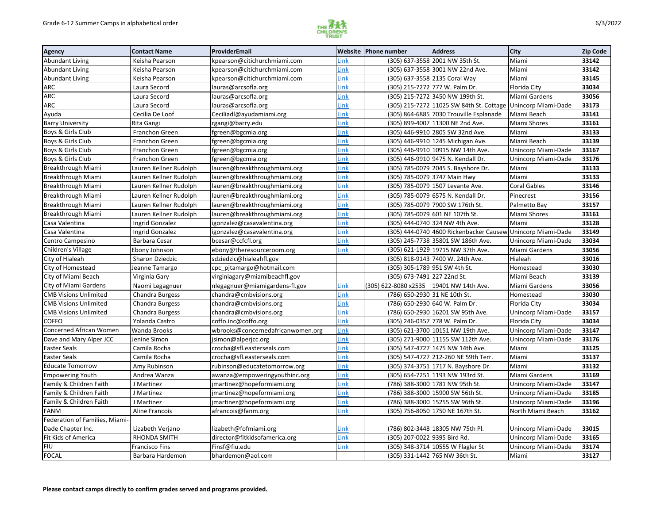

| <b>Agency</b>                  | <b>Contact Name</b>    | ProviderEmail                     |      | <b>Website Phone number</b>   | <b>Address</b>                                              | <b>City</b>         | Zip Code |
|--------------------------------|------------------------|-----------------------------------|------|-------------------------------|-------------------------------------------------------------|---------------------|----------|
| <b>Abundant Living</b>         | Keisha Pearson         | kpearson@citichurchmiami.com      | Link |                               | (305) 637-3558 2001 NW 35th St.                             | Miami               | 33142    |
| <b>Abundant Living</b>         | Keisha Pearson         | kpearson@citichurchmiami.com      | Link |                               | (305) 637-3558 3001 NW 22nd Ave.                            | Miami               | 33142    |
| <b>Abundant Living</b>         | Keisha Pearson         | kpearson@citichurchmiami.com      | Link |                               | (305) 637-3558 2135 Coral Way                               | Miami               | 33145    |
| <b>ARC</b>                     | Laura Secord           | lauras@arcsofla.org               | Link |                               | (305) 215-7272 777 W. Palm Dr.                              | Florida City        | 33034    |
| <b>ARC</b>                     | Laura Secord           | lauras@arcsofla.org               | Link |                               | (305) 215-7272 3450 NW 199th St.                            | Miami Gardens       | 33056    |
| <b>ARC</b>                     | Laura Secord           | lauras@arcsofla.org               | Link |                               | (305) 215-7272 11025 SW 84th St. Cottage                    | Unincorp Miami-Dade | 33173    |
| Ayuda                          | Cecilia De Loof        | Ceciliadl@ayudamiami.org          | Link |                               | (305) 864-6885 7030 Trouville Esplanade                     | Miami Beach         | 33141    |
| <b>Barry University</b>        | Rita Gangi             | rgangi@barry.edu                  | Link |                               | (305) 899-4007 11300 NE 2nd Ave.                            | Miami Shores        | 33161    |
| Boys & Girls Club              | Franchon Green         | fgreen@bgcmia.org                 | Link |                               | (305) 446-9910 2805 SW 32nd Ave.                            | Miami               | 33133    |
| Boys & Girls Club              | Franchon Green         | fgreen@bgcmia.org                 | Link |                               | (305) 446-9910 1245 Michigan Ave.                           | Miami Beach         | 33139    |
| Boys & Girls Club              | Franchon Green         | fgreen@bgcmia.org                 | Link |                               | (305) 446-9910 10915 NW 14th Ave.                           | Unincorp Miami-Dade | 33167    |
| Boys & Girls Club              | Franchon Green         | fgreen@bgcmia.org                 | Link |                               | (305) 446-9910 9475 N. Kendall Dr.                          | Unincorp Miami-Dade | 33176    |
| <b>Breakthrough Miami</b>      | Lauren Kellner Rudolph | lauren@breakthroughmiami.org      | Link |                               | (305) 785-0079 2045 S. Bayshore Dr.                         | Miami               | 33133    |
| <b>Breakthrough Miami</b>      | Lauren Kellner Rudolph | lauren@breakthroughmiami.org      | Link |                               | (305) 785-0079 3747 Main Hwy                                | Miami               | 33133    |
| Breakthrough Miami             | Lauren Kellner Rudolph | lauren@breakthroughmiami.org      | Link |                               | (305) 785-0079 1507 Levante Ave.                            | <b>Coral Gables</b> | 33146    |
| <b>Breakthrough Miami</b>      | Lauren Kellner Rudolph | lauren@breakthroughmiami.org      | Link |                               | (305) 785-0079 6575 N. Kendall Dr.                          | Pinecrest           | 33156    |
| <b>Breakthrough Miami</b>      | Lauren Kellner Rudolph | lauren@breakthroughmiami.org      | Link |                               | (305) 785-0079 7900 SW 176th St.                            | Palmetto Bay        | 33157    |
| Breakthrough Miami             | Lauren Kellner Rudolph | lauren@breakthroughmiami.org      | Link |                               | (305) 785-0079 601 NE 107th St.                             | Miami Shores        | 33161    |
| Casa Valentina                 | Ingrid Gonzalez        | igonzalez@casavalentina.org       | Link |                               | (305) 444-0740 324 NW 4th Ave.                              | Miami               | 33128    |
| Casa Valentina                 | Ingrid Gonzalez        | igonzalez@casavalentina.org       | Link |                               | (305) 444-0740 4600 Rickenbacker Causew Unincorp Miami-Dade |                     | 33149    |
| Centro Campesino               | Barbara Cesar          | bcesar@ccfcfl.org                 | Link |                               | (305) 245-7738 35801 SW 186th Ave.                          | Unincorp Miami-Dade | 33034    |
| Children's Village             | Ebony Johnson          | ebony@theresourceroom.org         | Link |                               | (305) 621-1929 19715 NW 37th Ave.                           | Miami Gardens       | 33056    |
| City of Hialeah                | Sharon Dziedzic        | sdziedzic@hialeahfl.gov           |      |                               | (305) 818-9143 7400 W. 24th Ave.                            | Hialeah             | 33016    |
| City of Homestead              | Jeanne Tamargo         | cpc_pjtamargo@hotmail.com         |      | (305) 305-1789 951 SW 4th St. |                                                             | Homestead           | 33030    |
| City of Miami Beach            | Virginia Gary          | virginiagary@miamibeachfl.gov     |      | (305) 673-7491 227 22nd St.   |                                                             | Miami Beach         | 33139    |
| City of Miami Gardens          | Naomi Legagnuer        | nlegagnuer@miamigardens-fl.gov    | Link | (305) 622-8080 x2535          | 19401 NW 14th Ave.                                          | Miami Gardens       | 33056    |
| <b>CMB Visions Unlimited</b>   | Chandra Burgess        | chandra@cmbvisions.org            | Link | (786) 650-2930 31 NE 10th St. |                                                             | Homestead           | 33030    |
| <b>CMB Visions Unlimited</b>   | Chandra Burgess        | chandra@cmbvisions.org            | Link |                               | (786) 650-2930 640 W. Palm Dr.                              | Florida City        | 33034    |
| <b>CMB Visions Unlimited</b>   | Chandra Burgess        | chandra@cmbvisions.org            | Link |                               | (786) 650-2930 16201 SW 95th Ave.                           | Unincorp Miami-Dade | 33157    |
| <b>COFFO</b>                   | Yolanda Castro         | coffo.inc@coffo.org               | Link |                               | (305) 246-0357 778 W. Palm Dr.                              | Florida City        | 33034    |
| Concerned African Women        | Wanda Brooks           | wbrooks@concernedafricanwomen.org | Link |                               | (305) 621-3700 10151 NW 19th Ave.                           | Unincorp Miami-Dade | 33147    |
| Dave and Mary Alper JCC        | Jenine Simon           | jsimon@alperjcc.org               | Link |                               | (305) 271-9000 11155 SW 112th Ave.                          | Unincorp Miami-Dade | 33176    |
| <b>Easter Seals</b>            | Camila Rocha           | crocha@sfl.easterseals.com        | Link |                               | (305) 547-4727 1475 NW 14th Ave.                            | Miami               | 33125    |
| <b>Easter Seals</b>            | Camila Rocha           | crocha@sfl.easterseals.com        | Link |                               | (305) 547-4727 212-260 NE 59th Terr.                        | Miami               | 33137    |
| <b>Educate Tomorrow</b>        | Amy Rubinson           | rubinson@educatetomorrow.org      | Link |                               | (305) 374-3751 1717 N. Bayshore Dr.                         | Miami               | 33132    |
| <b>Empowering Youth</b>        | Andrea Wanza           | awanza@empoweringyouthinc.org     | Link |                               | (305) 654-7251 1193 NW 193rd St.                            | Miami Gardens       | 33169    |
| Family & Children Faith        | J Martinez             | jmartinez@hopeformiami.org        | Link |                               | (786) 388-3000 1781 NW 95th St.                             | Unincorp Miami-Dade | 33147    |
| Family & Children Faith        | J Martinez             | jmartinez@hopeformiami.org        | Link |                               | (786) 388-3000 15900 SW 56th St.                            | Unincorp Miami-Dade | 33185    |
| Family & Children Faith        | J Martinez             | jmartinez@hopeformiami.org        | Link |                               | (786) 388-3000 15255 SW 96th St.                            | Unincorp Miami-Dade | 33196    |
| <b>FANM</b>                    | Aline Francois         | afrancois@fanm.org                | Link |                               | (305) 756-8050 1750 NE 167th St.                            | North Miami Beach   | 33162    |
| Federation of Families, Miami- |                        |                                   |      |                               |                                                             |                     |          |
| Dade Chapter Inc.              | Lizabeth Verjano       | lizabeth@fofmiami.org             | Link |                               | (786) 802-3448 18305 NW 75th Pl.                            | Unincorp Miami-Dade | 33015    |
| Fit Kids of America            | RHONDA SMITH           | director@fitkidsofamerica.org     | Link | (305) 207-0022 9395 Bird Rd.  |                                                             | Unincorp Miami-Dade | 33165    |
| FIU                            | <b>Francisco Fins</b>  | Finsf@fiu.edu                     | Link |                               | (305) 348-3714 10555 W Flagler St                           | Unincorp Miami-Dade | 33174    |
| <b>FOCAL</b>                   | Barbara Hardemon       | bhardemon@aol.com                 |      |                               | (305) 331-1442 765 NW 36th St.                              | Miami               | 33127    |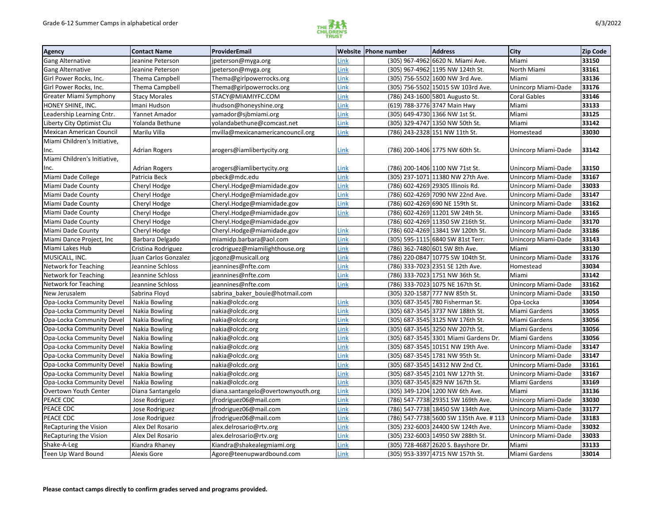

| <b>Agency</b>                   | <b>Contact Name</b>  | ProviderEmail                      |             | <b>Website Phone number</b> | <b>Address</b>                         | <b>City</b>         | Zip Code |
|---------------------------------|----------------------|------------------------------------|-------------|-----------------------------|----------------------------------------|---------------------|----------|
| <b>Gang Alternative</b>         | Jeanine Peterson     | jpeterson@myga.org                 | Link        |                             | (305) 967-4962 6620 N. Miami Ave.      | Miami               | 33150    |
| <b>Gang Alternative</b>         | Jeanine Peterson     | jpeterson@myga.org                 | Link        |                             | (305) 967-4962 1195 NW 124th St.       | North Miami         | 33161    |
| Girl Power Rocks, Inc.          | Thema Campbell       | Thema@girlpowerrocks.org           | Link        |                             | (305) 756-5502 1600 NW 3rd Ave.        | Miami               | 33136    |
| Girl Power Rocks, Inc.          | Thema Campbell       | Thema@girlpowerrocks.org           | Link        |                             | (305) 756-5502 15015 SW 103rd Ave.     | Unincorp Miami-Dade | 33176    |
| <b>Greater Miami Symphony</b>   | <b>Stacy Morales</b> | STACY@MIAMIYFC.COM                 | Link        |                             | (786) 243-1600 5801 Augusto St.        | <b>Coral Gables</b> | 33146    |
| HONEY SHINE, INC.               | Imani Hudson         | ihudson@honeyshine.org             | Link        |                             | (619) 788-3776 3747 Main Hwy           | Miami               | 33133    |
| Leadership Learning Cntr.       | Yannet Amador        | yamador@sjbmiami.org               | Link        |                             | (305) 649-4730 1366 NW 1st St.         | Miami               | 33125    |
| Liberty City Optimist Clu       | Yolanda Bethune      | yolandabethune@comcast.net         | Link        |                             | (305) 329-4747 1350 NW 50th St.        | Miami               | 33142    |
| <b>Mexican American Council</b> | Marilu Villa         | mvilla@mexicanamericancouncil.org  | Link        |                             | (786) 243-2328 151 NW 11th St.         | Homestead           | 33030    |
| Miami Children's Initiative,    |                      |                                    |             |                             |                                        |                     |          |
| Inc.                            | <b>Adrian Rogers</b> | arogers@iamlibertycity.org         | Link        |                             | (786) 200-1406 1775 NW 60th St.        | Unincorp Miami-Dade | 33142    |
| Miami Children's Initiative,    |                      |                                    |             |                             |                                        |                     |          |
| Inc.                            | <b>Adrian Rogers</b> | arogers@iamlibertycity.org         | Link        |                             | (786) 200-1406 1100 NW 71st St.        | Unincorp Miami-Dade | 33150    |
| Miami Dade College              | Patricia Beck        | pbeck@mdc.edu                      | Link        |                             | (305) 237-1071 11380 NW 27th Ave.      | Unincorp Miami-Dade | 33167    |
| Miami Dade County               | Cheryl Hodge         | Cheryl.Hodge@miamidade.gov         | Link        |                             | (786) 602-4269 29305 Illinois Rd.      | Unincorp Miami-Dade | 33033    |
| Miami Dade County               | Cheryl Hodge         | Cheryl.Hodge@miamidade.gov         | Link        |                             | (786) 602-4269 7090 NW 22nd Ave.       | Unincorp Miami-Dade | 33147    |
| Miami Dade County               | Cheryl Hodge         | Cheryl.Hodge@miamidade.gov         | Link        |                             | (786) 602-4269 690 NE 159th St.        | Unincorp Miami-Dade | 33162    |
| Miami Dade County               | Cheryl Hodge         | Cheryl.Hodge@miamidade.gov         | Link        |                             | (786) 602-4269 11201 SW 24th St.       | Unincorp Miami-Dade | 33165    |
| Miami Dade County               | Cheryl Hodge         | Cheryl.Hodge@miamidade.gov         |             |                             | (786) 602-4269 11350 SW 216th St.      | Unincorp Miami-Dade | 33170    |
| Miami Dade County               | Cheryl Hodge         | Cheryl.Hodge@miamidade.gov         | Link        |                             | (786) 602-4269 13841 SW 120th St.      | Unincorp Miami-Dade | 33186    |
| Miami Dance Project, Inc        | Barbara Delgado      | miamidp.barbara@aol.com            | Link        |                             | (305) 595-1115 6840 SW 81st Terr.      | Unincorp Miami-Dade | 33143    |
| Miami Lakes Hub                 | Cristina Rodriguez   | crodriguez@miamilighthouse.org     | Link        |                             | (786) 362-7480 601 SW 8th Ave.         | Miami               | 33130    |
| MUSICALL, INC.                  | Juan Carlos Gonzalez | jcgonz@musicall.org                | Link        |                             | (786) 220-0847 10775 SW 104th St.      | Unincorp Miami-Dade | 33176    |
| Network for Teaching            | Jeannine Schloss     | jeannines@nfte.com                 | Link        |                             | (786) 333-7023 2351 SE 12th Ave.       | Homestead           | 33034    |
| <b>Network for Teaching</b>     | Jeannine Schloss     | jeannines@nfte.com                 | Link        |                             | (786) 333-7023 1751 NW 36th St.        | Miami               | 33142    |
| Network for Teaching            | Jeannine Schloss     | jeannines@nfte.com                 | Link        |                             | (786) 333-7023 1075 NE 167th St.       | Unincorp Miami-Dade | 33162    |
| New Jerusalem                   | Sabrina Floyd        | sabrina baker bouie@hotmail.com    |             |                             | (305) 320-1587 777 NW 85th St.         | Unincorp Miami-Dade | 33150    |
| Opa-Locka Community Devel       | Nakia Bowling        | nakia@olcdc.org                    | Link        |                             | (305) 687-3545 780 Fisherman St.       | Opa-Locka           | 33054    |
| Opa-Locka Community Devel       | Nakia Bowling        | nakia@olcdc.org                    | Link        |                             | (305) 687-3545 3737 NW 188th St.       | Miami Gardens       | 33055    |
| Opa-Locka Community Devel       | Nakia Bowling        | nakia@olcdc.org                    | Link        |                             | (305) 687-3545 3125 NW 176th St.       | Miami Gardens       | 33056    |
| Opa-Locka Community Devel       | <b>Nakia Bowling</b> | nakia@olcdc.org                    | Link        |                             | (305) 687-3545 3250 NW 207th St.       | Miami Gardens       | 33056    |
| Opa-Locka Community Devel       | Nakia Bowling        | nakia@olcdc.org                    | Link        |                             | (305) 687-3545 3301 Miami Gardens Dr.  | Miami Gardens       | 33056    |
| Opa-Locka Community Devel       | Nakia Bowling        | nakia@olcdc.org                    | <u>Link</u> |                             | (305) 687-3545 10151 NW 19th Ave.      | Unincorp Miami-Dade | 33147    |
| Opa-Locka Community Devel       | Nakia Bowling        | nakia@olcdc.org                    | Link        |                             | (305) 687-3545 1781 NW 95th St.        | Unincorp Miami-Dade | 33147    |
| Opa-Locka Community Devel       | Nakia Bowling        | nakia@olcdc.org                    | Link        |                             | (305) 687-3545 14312 NW 2nd Ct.        | Unincorp Miami-Dade | 33161    |
| Opa-Locka Community Devel       | Nakia Bowling        | nakia@olcdc.org                    | Link        |                             | (305) 687-3545 2101 NW 127th St.       | Unincorp Miami-Dade | 33167    |
| Opa-Locka Community Devel       | Nakia Bowling        | nakia@olcdc.org                    | Link        |                             | (305) 687-3545 829 NW 167th St.        | Miami Gardens       | 33169    |
| Overtown Youth Center           | Diana Santangelo     | diana.santangelo@overtownyouth.org | Link        |                             | (305) 349-1204 1200 NW 6th Ave.        | Miami               | 33136    |
| PEACE CDC                       | Jose Rodriguez       | jfrodriguez06@mail.com             | Link        |                             | (786) 547-7738 29351 SW 169th Ave.     | Unincorp Miami-Dade | 33030    |
| <b>PEACE CDC</b>                | Jose Rodriguez       | jfrodriguez06@mail.com             | Link        |                             | (786) 547-7738 18450 SW 134th Ave.     | Unincorp Miami-Dade | 33177    |
| PEACE CDC                       | Jose Rodriguez       | jfrodriguez06@mail.com             | Link        |                             | (786) 547-7738 5600 SW 135th Ave. #113 | Unincorp Miami-Dade | 33183    |
| <b>ReCapturing the Vision</b>   | Alex Del Rosario     | alex.delrosario@rtv.org            | Link        |                             | (305) 232-6003 24400 SW 124th Ave.     | Unincorp Miami-Dade | 33032    |
| <b>ReCapturing the Vision</b>   | Alex Del Rosario     | alex.delrosario@rtv.org            | Link        |                             | (305) 232-6003 14950 SW 288th St.      | Unincorp Miami-Dade | 33033    |
| Shake-A-Leg                     | Kiandra Rhaney       | Kiandra@shakealegmiami.org         | Link        |                             | (305) 728-4687 2620 S. Bayshore Dr.    | Miami               | 33133    |
| Teen Up Ward Bound              | Alexis Gore          | Agore@teenupwardbound.com          | <u>Link</u> |                             | (305) 953-3397 4715 NW 157th St.       | Miami Gardens       | 33014    |